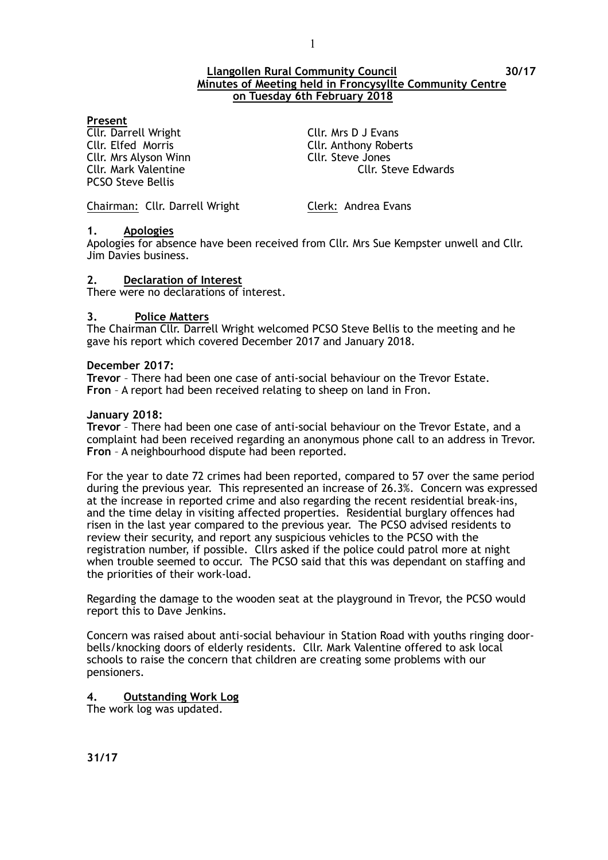#### **Llangollen Rural Community Council 30/17 Minutes of Meeting held in Froncysyllte Community Centre on Tuesday 6th February 2018**

#### **Present**

**Cllr. Darrell Wright Cllr. Mrs D J Evans** Cllr. Elfed Morris Cllr. Anthony Roberts Cllr. Mrs Alyson Winn Cllr. Steve Jones PCSO Steve Bellis

Cllr. Mark Valentine Cllr. Steve Edwards

Chairman: Cllr. Darrell Wright Clerk: Andrea Evans

#### **1. Apologies**

Apologies for absence have been received from Cllr. Mrs Sue Kempster unwell and Cllr. Jim Davies business.

#### **2. Declaration of Interest**

There were no declarations of interest.

#### **3. Police Matters**

The Chairman Cllr. Darrell Wright welcomed PCSO Steve Bellis to the meeting and he gave his report which covered December 2017 and January 2018.

#### **December 2017:**

**Trevor** – There had been one case of anti-social behaviour on the Trevor Estate. **Fron** – A report had been received relating to sheep on land in Fron.

#### **January 2018:**

**Trevor** – There had been one case of anti-social behaviour on the Trevor Estate, and a complaint had been received regarding an anonymous phone call to an address in Trevor. **Fron** – A neighbourhood dispute had been reported.

For the year to date 72 crimes had been reported, compared to 57 over the same period during the previous year. This represented an increase of 26.3%. Concern was expressed at the increase in reported crime and also regarding the recent residential break-ins, and the time delay in visiting affected properties. Residential burglary offences had risen in the last year compared to the previous year. The PCSO advised residents to review their security, and report any suspicious vehicles to the PCSO with the registration number, if possible. Cllrs asked if the police could patrol more at night when trouble seemed to occur. The PCSO said that this was dependant on staffing and the priorities of their work-load.

Regarding the damage to the wooden seat at the playground in Trevor, the PCSO would report this to Dave Jenkins.

Concern was raised about anti-social behaviour in Station Road with youths ringing doorbells/knocking doors of elderly residents. Cllr. Mark Valentine offered to ask local schools to raise the concern that children are creating some problems with our pensioners.

# **4. Outstanding Work Log**

The work log was updated.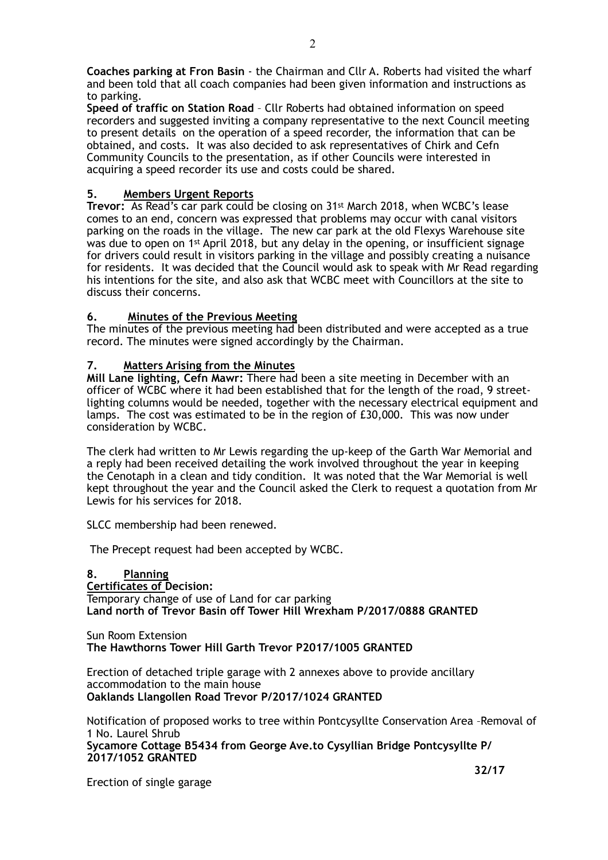**Coaches parking at Fron Basin** - the Chairman and Cllr A. Roberts had visited the wharf and been told that all coach companies had been given information and instructions as to parking.

**Speed of traffic on Station Road** – Cllr Roberts had obtained information on speed recorders and suggested inviting a company representative to the next Council meeting to present details on the operation of a speed recorder, the information that can be obtained, and costs. It was also decided to ask representatives of Chirk and Cefn Community Councils to the presentation, as if other Councils were interested in acquiring a speed recorder its use and costs could be shared.

# **5. Members Urgent Reports**

**Trevor:** As Read's car park could be closing on 31st March 2018, when WCBC's lease comes to an end, concern was expressed that problems may occur with canal visitors parking on the roads in the village.The new car park at the old Flexys Warehouse site was due to open on 1st April 2018, but any delay in the opening, or insufficient signage for drivers could result in visitors parking in the village and possibly creating a nuisance for residents. It was decided that the Council would ask to speak with Mr Read regarding his intentions for the site, and also ask that WCBC meet with Councillors at the site to discuss their concerns.

# **6. Minutes of the Previous Meeting**

The minutes of the previous meeting had been distributed and were accepted as a true record. The minutes were signed accordingly by the Chairman.

#### **7. Matters Arising from the Minutes**

**Mill Lane lighting, Cefn Mawr:** There had been a site meeting in December with an officer of WCBC where it had been established that for the length of the road, 9 streetlighting columns would be needed, together with the necessary electrical equipment and lamps. The cost was estimated to be in the region of £30,000. This was now under consideration by WCBC.

The clerk had written to Mr Lewis regarding the up-keep of the Garth War Memorial and a reply had been received detailing the work involved throughout the year in keeping the Cenotaph in a clean and tidy condition. It was noted that the War Memorial is well kept throughout the year and the Council asked the Clerk to request a quotation from Mr Lewis for his services for 2018.

SLCC membership had been renewed.

The Precept request had been accepted by WCBC.

**8. Planning Certificates of Decision:**  Temporary change of use of Land for car parking **Land north of Trevor Basin off Tower Hill Wrexham P/2017/0888 GRANTED** 

Sun Room Extension **The Hawthorns Tower Hill Garth Trevor P2017/1005 GRANTED** 

Erection of detached triple garage with 2 annexes above to provide ancillary accommodation to the main house **Oaklands Llangollen Road Trevor P/2017/1024 GRANTED** 

Notification of proposed works to tree within Pontcysyllte Conservation Area –Removal of 1 No. Laurel Shrub **Sycamore Cottage B5434 from George Ave.to Cysyllian Bridge Pontcysyllte P/ 2017/1052 GRANTED** 

Erection of single garage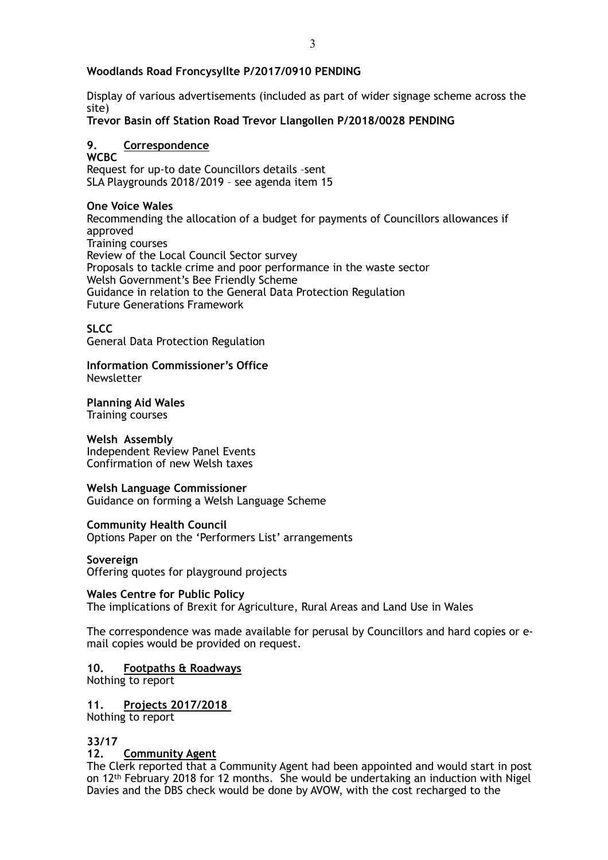# **Woodlands Road Froncysyllte P/2017/0910 PENDING**

Display of various advertisements (included as part of wider signage scheme across the site)

**Trevor Basin off Station Road Trevor Llangollen P/2018/0028 PENDING** 

# **9. Correspondence**

**WCBC**  Request for up-to date Councillors details –sent SLA Playgrounds 2018/2019 – see agenda item 15

#### **One Voice Wales**

Recommending the allocation of a budget for payments of Councillors allowances if approved Training courses Review of the Local Council Sector survey Proposals to tackle crime and poor performance in the waste sector Welsh Government's Bee Friendly Scheme Guidance in relation to the General Data Protection Regulation Future Generations Framework

#### **SLCC**

General Data Protection Regulation

#### **Information Commissioner's Office**  Newsletter

# **Planning Aid Wales**

Training courses

# **Welsh Assembly**

Independent Review Panel Events Confirmation of new Welsh taxes

# **Welsh Language Commissioner**

Guidance on forming a Welsh Language Scheme

#### **Community Health Council**

Options Paper on the 'Performers List' arrangements

#### **Sovereign**

Offering quotes for playground projects

#### **Wales Centre for Public Policy**

The implications of Brexit for Agriculture, Rural Areas and Land Use in Wales

The correspondence was made available for perusal by Councillors and hard copies or email copies would be provided on request.

# **10. Footpaths & Roadways**

Nothing to report

**11. Projects 2017/2018**  Nothing to report

# **33/17**

# **12. Community Agent**

The Clerk reported that a Community Agent had been appointed and would start in post on 12th February 2018 for 12 months. She would be undertaking an induction with Nigel Davies and the DBS check would be done by AVOW, with the cost recharged to the